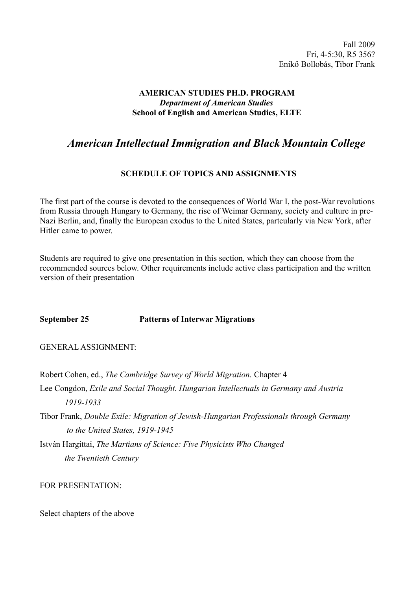Fall 2009 Fri, 4-5:30, R5 356? Enikő Bollobás, Tibor Frank

## **AMERICAN STUDIES PH.D. PROGRAM** *Department of American Studies* **School of English and American Studies, ELTE**

# *American Intellectual Immigration and Black Mountain College*

# **SCHEDULE OF TOPICS AND ASSIGNMENTS**

The first part of the course is devoted to the consequences of World War I, the post-War revolutions from Russia through Hungary to Germany, the rise of Weimar Germany, society and culture in pre-Nazi Berlin, and, finally the European exodus to the United States, partcularly via New York, after Hitler came to power.

Students are required to give one presentation in this section, which they can choose from the recommended sources below. Other requirements include active class participation and the written version of their presentation

#### **September 25 Patterns of Interwar Migrations**

GENERAL ASSIGNMENT:

Robert Cohen, ed., *The Cambridge Survey of World Migration.* Chapter 4

Lee Congdon, *Exile and Social Thought. Hungarian Intellectuals in Germany and Austria 1919-1933*

Tibor Frank, *Double Exile: Migration of Jewish-Hungarian Professionals through Germany to the United States, 1919-1945*

István Hargittai, *The Martians of Science: Five Physicists Who Changed the Twentieth Century*

FOR PRESENTATION:

Select chapters of the above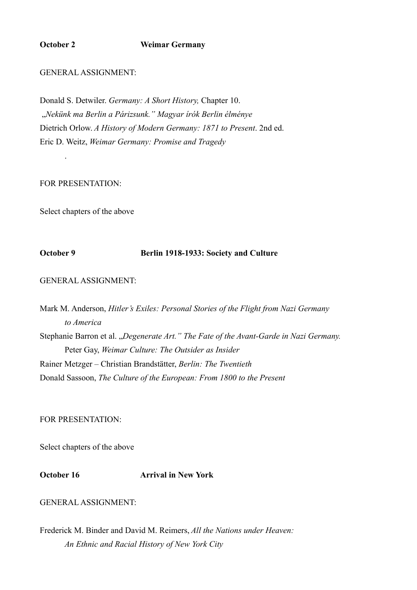#### **October 2 Weimar Germany**

#### GENERAL ASSIGNMENT:

Donald S. Detwiler. *Germany: A Short History,* Chapter 10. "*Nekünk ma Berlin a Párizsunk." Magyar írók Berlin élménye*  Dietrich Orlow. *A History of Modern Germany: 1871 to Present*. 2nd ed. Eric D. Weitz, *Weimar Germany: Promise and Tragedy*

#### FOR PRESENTATION:

.

Select chapters of the above

#### **October 9 Berlin 1918-1933: Society and Culture**

GENERAL ASSIGNMENT:

Mark M. Anderson, *Hitler's Exiles: Personal Stories of the Flight from Nazi Germany to America* Stephanie Barron et al. "Degenerate Art." The Fate of the Avant-Garde in Nazi Germany. Peter Gay, *Weimar Culture: The Outsider as Insider* Rainer Metzger – Christian Brandstätter, *Berlin: The Twentieth* Donald Sassoon, *The Culture of the European: From 1800 to the Present*

### FOR PRESENTATION:

Select chapters of the above

**October 16 Arrival in New York** 

# GENERAL ASSIGNMENT:

Frederick M. Binder and David M. Reimers, *All the Nations under Heaven: An Ethnic and Racial History of New York City*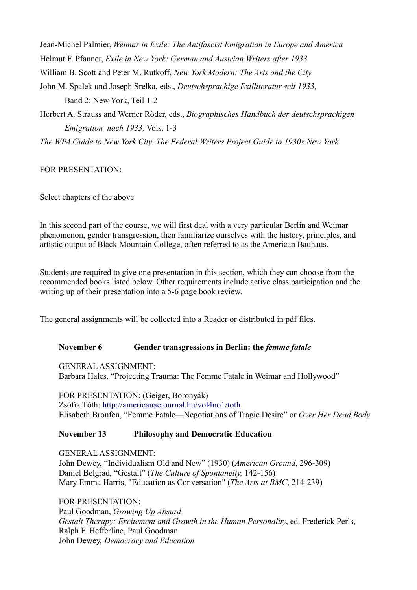Jean-Michel Palmier, *Weimar in Exile: The Antifascist Emigration in Europe and America* Helmut F. Pfanner, *Exile in New York: German and Austrian Writers after 1933* William B. Scott and Peter M. Rutkoff, *New York Modern: The Arts and the City* John M. Spalek und Joseph Srelka, eds., *Deutschsprachige Exilliteratur seit 1933,*  Band 2: New York, Teil 1-2

Herbert A. Strauss and Werner Röder, eds., *Biographisches Handbuch der deutschsprachigen Emigration nach 1933,* Vols. 1-3

*The WPA Guide to New York City. The Federal Writers Project Guide to 1930s New York*

FOR PRESENTATION:

Select chapters of the above

In this second part of the course, we will first deal with a very particular Berlin and Weimar phenomenon, gender transgression, then familiarize ourselves with the history, principles, and artistic output of Black Mountain College, often referred to as the American Bauhaus.

Students are required to give one presentation in this section, which they can choose from the recommended books listed below. Other requirements include active class participation and the writing up of their presentation into a 5-6 page book review.

The general assignments will be collected into a Reader or distributed in pdf files.

#### **November 6** Gender transgressions in Berlin: the *femme fatale*

GENERAL ASSIGNMENT: Barbara Hales, "Projecting Trauma: The Femme Fatale in Weimar and Hollywood"

FOR PRESENTATION: (Geiger, Boronyák) Zsófia Tóth:<http://americanaejournal.hu/vol4no1/toth> Elisabeth Bronfen, "Femme Fatale—Negotiations of Tragic Desire" or *Over Her Dead Body*

# **November 13 Philosophy and Democratic Education**

GENERAL ASSIGNMENT: John Dewey, "Individualism Old and New" (1930) (*American Ground*, 296-309) Daniel Belgrad, "Gestalt" (*The Culture of Spontaneity,* 142-156) Mary Emma Harris, "Education as Conversation" (*The Arts at BMC*, 214-239)

FOR PRESENTATION: Paul Goodman, *Growing Up Absurd Gestalt Therapy: Excitement and Growth in the Human Personality*, ed. Frederick Perls, Ralph F. Hefferline, Paul Goodman John Dewey, *Democracy and Education*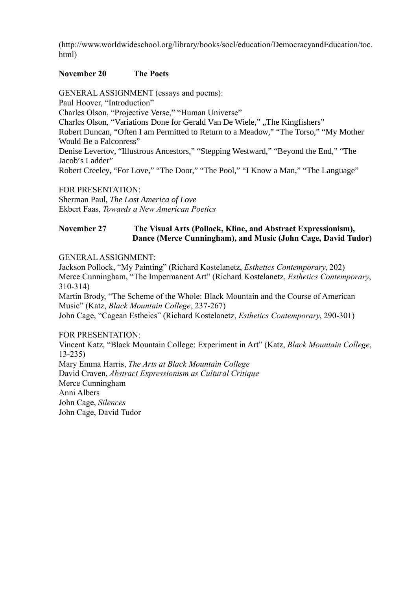(http://www.worldwideschool.org/library/books/socl/education/DemocracyandEducation/toc. html)

## **November 20 The Poets**

GENERAL ASSIGNMENT (essays and poems): Paul Hoover, "Introduction" Charles Olson, "Projective Verse," "Human Universe" Charles Olson, "Variations Done for Gerald Van De Wiele," "The Kingfishers" Robert Duncan, "Often I am Permitted to Return to a Meadow," "The Torso," "My Mother Would Be a Falconress" Denise Levertov, "Illustrous Ancestors," "Stepping Westward," "Beyond the End," "The Jacob's Ladder" Robert Creeley, "For Love," "The Door," "The Pool," "I Know a Man," "The Language"

FOR PRESENTATION:

Sherman Paul, *The Lost America of Love* Ekbert Faas, *Towards a New American Poetics*

## **November 27 The Visual Arts (Pollock, Kline, and Abstract Expressionism), Dance (Merce Cunningham), and Music (John Cage, David Tudor)**

GENERAL ASSIGNMENT:

Jackson Pollock, "My Painting" (Richard Kostelanetz, *Esthetics Contemporary*, 202) Merce Cunningham, "The Impermanent Art" (Richard Kostelanetz, *Esthetics Contemporary*, 310-314) Martin Brody, "The Scheme of the Whole: Black Mountain and the Course of American

Music" (Katz, *Black Mountain College*, 237-267)

John Cage, "Cagean Estheics" (Richard Kostelanetz, *Esthetics Contemporary*, 290-301)

FOR PRESENTATION:

Vincent Katz, "Black Mountain College: Experiment in Art" (Katz, *Black Mountain College*, 13-235)

Mary Emma Harris, *The Arts at Black Mountain College* David Craven, *Abstract Expressionism as Cultural Critique* Merce Cunningham Anni Albers John Cage, *Silences* John Cage, David Tudor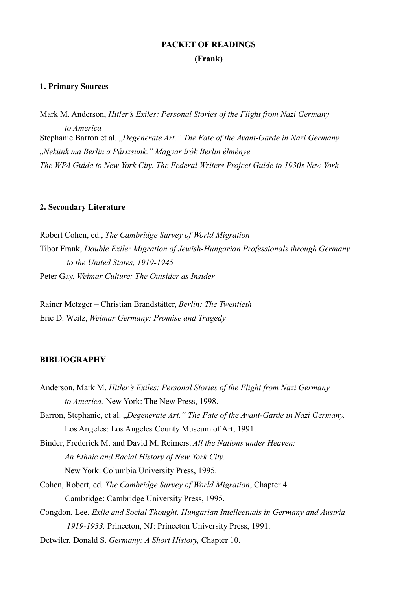# **PACKET OF READINGS (Frank)**

#### **1. Primary Sources**

Mark M. Anderson, *Hitler's Exiles: Personal Stories of the Flight from Nazi Germany to America* Stephanie Barron et al. "Degenerate Art." The Fate of the Avant-Garde in Nazi Germany "*Nekünk ma Berlin a Párizsunk." Magyar írók Berlin élménye The WPA Guide to New York City. The Federal Writers Project Guide to 1930s New York*

#### **2. Secondary Literature**

Robert Cohen, ed., *The Cambridge Survey of World Migration* Tibor Frank, *Double Exile: Migration of Jewish-Hungarian Professionals through Germany to the United States, 1919-1945* Peter Gay. *Weimar Culture: The Outsider as Insider*

Rainer Metzger – Christian Brandstätter, *Berlin: The Twentieth* Eric D. Weitz, *Weimar Germany: Promise and Tragedy*

#### **BIBLIOGRAPHY**

Anderson, Mark M. *Hitler's Exiles: Personal Stories of the Flight from Nazi Germany to America.* New York: The New Press, 1998. Barron, Stephanie, et al. "Degenerate Art." The Fate of the Avant-Garde in Nazi Germany. Los Angeles: Los Angeles County Museum of Art, 1991. Binder, Frederick M. and David M. Reimers. *All the Nations under Heaven: An Ethnic and Racial History of New York City.* New York: Columbia University Press, 1995. Cohen, Robert, ed. *The Cambridge Survey of World Migration*, Chapter 4. Cambridge: Cambridge University Press, 1995. Congdon, Lee. *Exile and Social Thought. Hungarian Intellectuals in Germany and Austria 1919-1933.* Princeton, NJ: Princeton University Press, 1991. Detwiler, Donald S. *Germany: A Short History,* Chapter 10.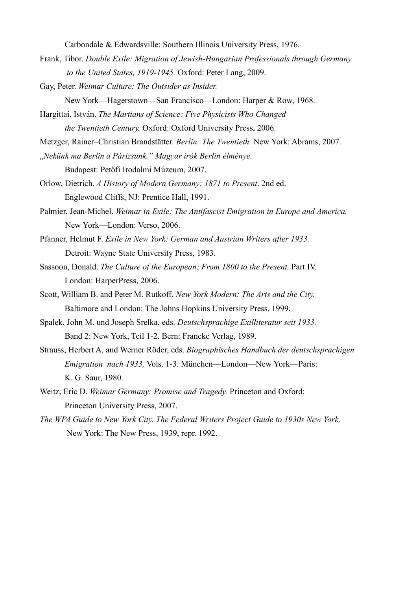Carbondale & Edwardsville: Southern Illinois University Press, 1976.

- Frank, Tibor. *Double Exile: Migration of Jewish-Hungarian Professionals through Germany to the United States, 1919-1945.* Oxford: Peter Lang, 2009.
- Gay, Peter. *Weimar Culture: The Outsider as Insider.*
	- New York—Hagerstown—San Francisco—London: Harper & Row, 1968.
- Hargittai, István. *The Martians of Science: Five Physicists Who Changed the Twentieth Century.* Oxford: Oxford University Press, 2006.
- Metzger, Rainer–Christian Brandstätter. *Berlin: The Twentieth.* New York: Abrams, 2007.
- "*Nekünk ma Berlin a Párizsunk." Magyar írók Berlin élménye.* 
	- Budapest: Petőfi Irodalmi Múzeum, 2007.
- Orlow, Dietrich. *A History of Modern Germany: 1871 to Present*. 2nd ed. Englewood Cliffs, NJ: Prentice Hall, 1991.
- Palmier, Jean-Michel. *Weimar in Exile: The Antifascist Emigration in Europe and America.*  New York—London: Verso, 2006.
- Pfanner, Helmut F. *Exile in New York: German and Austrian Writers after 1933.* Detroit: Wayne State University Press, 1983.
- Sassoon, Donald. *The Culture of the European: From 1800 to the Present*. Part IV. London: HarperPress, 2006.
- Scott, William B. and Peter M. Rutkoff. *New York Modern: The Arts and the City.* Baltimore and London: The Johns Hopkins University Press, 1999.
- Spalek, John M. und Joseph Srelka, eds. *Deutschsprachige Exilliteratur seit 1933,*  Band 2: New York, Teil 1-2. Bern: Francke Verlag, 1989.
- Strauss, Herbert A. and Werner Röder, eds. *Biographisches Handbuch der deutschsprachigen Emigration nach 1933,* Vols. 1-3. München—London—New York—Paris: K. G. Saur, 1980.
- Weitz, Eric D. *Weimar Germany: Promise and Tragedy.* Princeton and Oxford: Princeton University Press, 2007.
- *The WPA Guide to New York City. The Federal Writers Project Guide to 1930s New York.* New York: The New Press, 1939, repr. 1992.